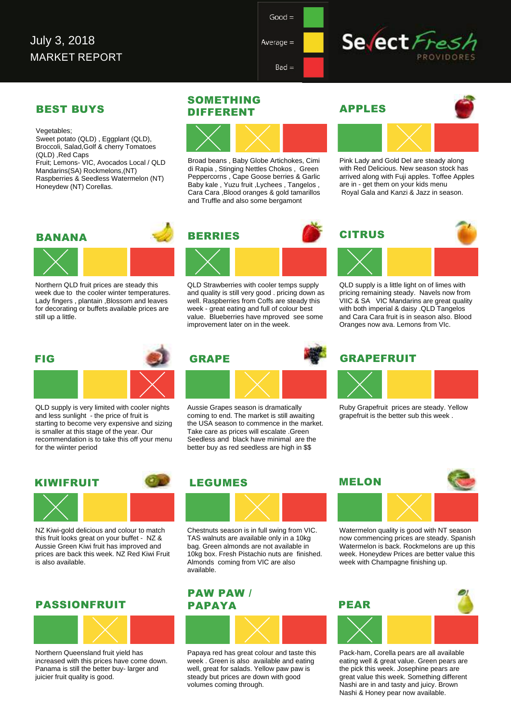$Average =$ 

 $Bad =$ 

## Sevect Fre

#### BEST BUYS DIFFERENT

Vegetables; Sweet potato (QLD) , Eggplant (QLD), Broccoli, Salad,Golf & cherry Tomatoes (QLD) ,Red Caps Fruit; Lemons- VIC, Avocados Local / QLD Mandarins(SA) Rockmelons,(NT) Raspberries & Seedless Watermelon (NT) Honeydew (NT) Corellas.

## SOMETHING



Broad beans , Baby Globe Artichokes, Cimi di Rapia , Stinging Nettles Chokos , Green Peppercorns , Cape Goose berries & Garlic Baby kale , Yuzu fruit ,Lychees , Tangelos , Cara Cara ,Blood oranges & gold tamarillos and Truffle and also some bergamont





Pink Lady and Gold Del are steady along with Red Delicious. New season stock has arrived along with Fuji apples. Toffee Apples are in - get them on your kids menu Royal Gala and Kanzi & Jazz in season.

#### BANANA BERRIES



Northern QLD fruit prices are steady this week due to the cooler winter temperatures. Lady fingers , plantain ,Blossom and leaves for decorating or buffets available prices are still up a little.

# FIG

QLD supply is very limited with cooler nights and less sunlight - the price of fruit is starting to become very expensive and sizing is smaller at this stage of the year. Our recommendation is to take this off your menu for the wiinter period



improvement later on in the week.

QLD Strawberries with cooler temps supply and quality is still very good . pricing down as well. Raspberries from Coffs are steady this week - great eating and full of colour best value. Blueberries have mproved see some

Aussie Grapes season is dramatically coming to end. The market is still awaiting the USA season to commence in the market. Take care as prices will escalate .Green Seedless and black have minimal are the better buy as red seedless are high in \$\$

# **CITRUS**

QLD supply is a little light on of limes with pricing remaining steady. Navels now from VIIC & SA VIC Mandarins are great quality with both imperial & daisy .QLD Tangelos and Cara Cara fruit is in season also. Blood Oranges now ava. Lemons from VIc.

#### **GRAPEFRUIT**



Ruby Grapefruit prices are steady. Yellow grapefruit is the better sub this week .

## KIWIFRUIT

NZ Kiwi-gold delicious and colour to match this fruit looks great on your buffet - NZ & Aussie Green Kiwi fruit has improved and prices are back this week. NZ Red Kiwi Fruit is also available.

#### PASSIONFRUIT



Northern Queensland fruit yield has increased with this prices have come down. Panama is still the better buy- larger and juicier fruit quality is good.

#### LEGUMES



Chestnuts season is in full swing from VIC. TAS walnuts are available only in a 10kg bag. Green almonds are not available in 10kg box. Fresh Pistachio nuts are finished. Almonds coming from VIC are also available.

#### PAW PAW / PAPAYA



Papaya red has great colour and taste this week . Green is also available and eating well, great for salads. Yellow paw paw is steady but prices are down with good volumes coming through.



Watermelon quality is good with NT season now commencing prices are steady. Spanish Watermelon is back. Rockmelons are up this week. Honeydew Prices are better value this week with Champagne finishing up.



Pack-ham, Corella pears are all available eating well & great value. Green pears are the pick this week. Josephine pears are great value this week. Something different Nashi are in and tasty and juicy. Brown Nashi & Honey pear now available.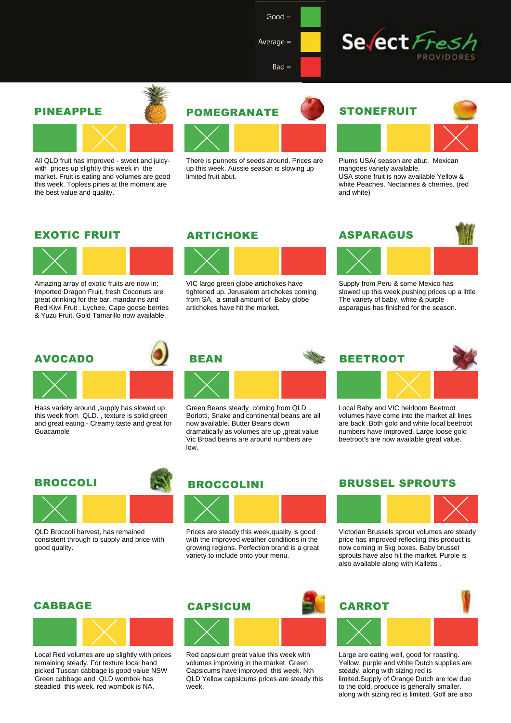$Good =$ 

 $Bad =$ 

Average  $=$ 



#### PINEAPPLE



All QLD fruit has improved - sweet and juicywith prices up slightly this week in the market. Fruit is eating and volumes are good this week. Topless pines at the moment are the best value and quality.





There is punnets of seeds around. Prices are up this week. Aussie season is slowing up limited fruit abut.



### STONEFRUIT



Plums USA( season are abut. Mexican mangoes variety available. USA stone fruit is now available Yellow & white Peaches, Nectarines & cherries. (red and white)

#### EXOTIC FRUIT



Amazing array of exotic fruits are now in; Imported Dragon Fruit, fresh Coconuts are great drinking for the bar, mandarins and Red Kiwi Fruit , Lychee, Cape goose berries & Yuzu Fruit. Gold Tamarillo now available.

#### ARTICHOKE

**REAN** 

low.



VIC large green globe artichokes have tightened up. Jerusalem artichokes coming from SA. a small amount of Baby globe artichokes have hit the market.



**BEETROOT** 



Supply from Peru & some Mexico has slowed up this week,pushing prices up a little The variety of baby, white & purple asparagus has finished for the season.

#### AVOCADO





Hass variety around ,supply has slowed up this week from QLD. , texture is solid green and great eating.- Creamy taste and great for Guacamole

#### BROCCOLI



QLD Broccoli harvest, has remained consistent through to supply and price with good quality.



Green Beans steady coming from QLD . Borlotti, Snake and continental beans are all

now available. Butter Beans down dramatically as volumes are up ,great value Vic Broad beans are around numbers are

Prices are steady this week,quality is good with the improved weather conditions in the growing regions. Perfection brand is a great variety to include onto your menu.

#### **CAPSICUM**



Red capsicum great value this week with volumes improving in the market. Green Capsicums have improved this week. Nth QLD Yellow capsicums prices are steady this week.

#### BRUSSEL SPROUTS

Local Baby and VIC heirloom Beetroot volumes have come into the market all lines are back .Both gold and white local beetroot numbers have improved. Large loose gold beetroot's are now available great value.



Victorian Brussels sprout volumes are steady price has improved reflecting this product is now coming in 5kg boxes. Baby brussel sprouts have also hit the market. Purple is also available along with Kalletts .



Large are eating well, good for roasting. Yellow, purple and white Dutch supplies are steady. along with sizing red is limited.Supply of Orange Dutch are low due to the cold, produce is generally smaller. along with sizing red is limited. Golf are also

### CABBAGE



Local Red volumes are up slightly with prices remaining steady. For texture local hand picked Tuscan cabbage is good value NSW Green cabbage and QLD wombok has steadied this week. red wombok is NA.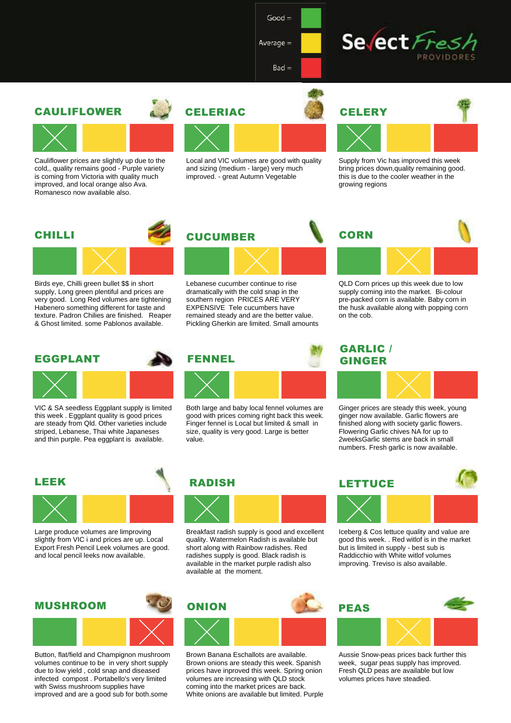$Good =$ 

 $Bad =$ 

Average  $=$ 



#### CAULIFLOWER



Cauliflower prices are slightly up due to the cold,, quality remains good - Purple variety is coming from Victoria with quality much improved, and local orange also Ava. Romanesco now available also.





Local and VIC volumes are good with quality and sizing (medium - large) very much improved. - great Autumn Vegetable



Supply from Vic has improved this week bring prices down,quality remaining good. this is due to the cooler weather in the growing regions

#### CHILLI



Birds eye, Chilli green bullet \$\$ in short supply, Long green plentiful and prices are very good. Long Red volumes are tightening Habenero something different for taste and texture. Padron Chilies are finished. Reaper & Ghost limited. some Pablonos available.

#### EGGPLANT



VIC & SA seedless Eggplant supply is limited this week . Eggplant quality is good prices are steady from Qld. Other varieties include striped, Lebanese, Thai white Japaneses and thin purple. Pea eggplant is available.



Lebanese cucumber continue to rise dramatically with the cold snap in the southern region PRICES ARE VERY EXPENSIVE Tele cucumbers have remained steady and are the better value. Pickling Gherkin are limited. Small amounts



Both large and baby local fennel volumes are good with prices coming right back this week. Finger fennel is Local but limited & small in size, quality is very good. Large is better value.

# **CORN**

QLD Corn prices up this week due to low supply coming into the market. Bi-colour pre-packed corn is available. Baby corn in the husk available along with popping corn on the cob.

#### GARLIC / GINGER



Ginger prices are steady this week, young ginger now available. Garlic flowers are finished along with society garlic flowers. Flowering Garlic chives NA for up to 2weeksGarlic stems are back in small numbers. Fresh garlic is now available.

#### LEEK



Large produce volumes are limproving slightly from VIC i and prices are up. Local Export Fresh Pencil Leek volumes are good. and local pencil leeks now available.



Button, flat/field and Champignon mushroom volumes continue to be in very short supply due to low yield , cold snap and diseased infected compost . Portabello's very limited with Swiss mushroom supplies have improved and are a good sub for both.some





Breakfast radish supply is good and excellent quality. Watermelon Radish is available but short along with Rainbow radishes. Red radishes supply is good. Black radish is available in the market purple radish also available at the moment.



Brown Banana Eschallots are available. Brown onions are steady this week. Spanish prices have inproved this week. Spring onion volumes are increasing with QLD stock coming into the market prices are back. White onions are available but limited. Purple





Iceberg & Cos lettuce quality and value are good this week. . Red witlof is in the market but is limited in supply - best sub is Raddicchio with White witlof volumes improving. Treviso is also available.



Aussie Snow-peas prices back further this week, sugar peas supply has improved. Fresh QLD peas are available but low volumes prices have steadied.